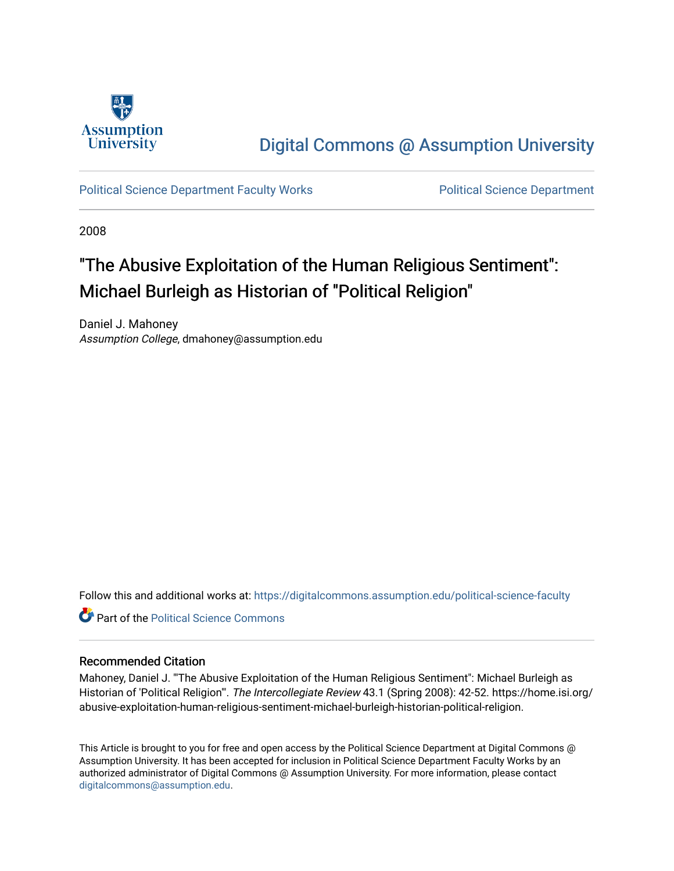

## [Digital Commons @ Assumption University](https://digitalcommons.assumption.edu/)

[Political Science Department Faculty Works](https://digitalcommons.assumption.edu/political-science-faculty) [Political Science Department](https://digitalcommons.assumption.edu/political-science) 

2008

# "The Abusive Exploitation of the Human Religious Sentiment": Michael Burleigh as Historian of "Political Religion"

Daniel J. Mahoney Assumption College, dmahoney@assumption.edu

Follow this and additional works at: [https://digitalcommons.assumption.edu/political-science-faculty](https://digitalcommons.assumption.edu/political-science-faculty?utm_source=digitalcommons.assumption.edu%2Fpolitical-science-faculty%2F19&utm_medium=PDF&utm_campaign=PDFCoverPages)

**C** Part of the Political Science Commons

## Recommended Citation

Mahoney, Daniel J. "'The Abusive Exploitation of the Human Religious Sentiment": Michael Burleigh as Historian of 'Political Religion'". The Intercollegiate Review 43.1 (Spring 2008): 42-52. https://home.isi.org/ abusive-exploitation-human-religious-sentiment-michael-burleigh-historian-political-religion.

This Article is brought to you for free and open access by the Political Science Department at Digital Commons @ Assumption University. It has been accepted for inclusion in Political Science Department Faculty Works by an authorized administrator of Digital Commons @ Assumption University. For more information, please contact [digitalcommons@assumption.edu](mailto:digitalcommons@assumption.edu).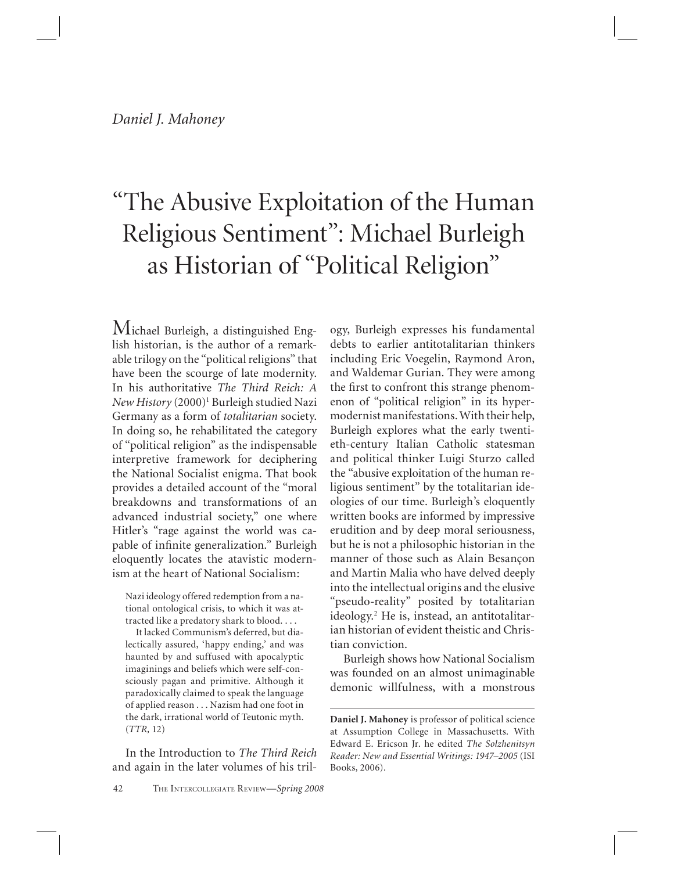# "The Abusive Exploitation of the Human Religious Sentiment": Michael Burleigh as Historian of "Political Religion"

Michael Burleigh, a distinguished English historian, is the author of a remarkable trilogy on the "political religions" that have been the scourge of late modernity. In his authoritative *The Third Reich: A New History* (2000)1 Burleigh studied Nazi Germany as a form of *totalitarian* society. In doing so, he rehabilitated the category of "political religion" as the indispensable interpretive framework for deciphering the National Socialist enigma. That book provides a detailed account of the "moral breakdowns and transformations of an advanced industrial society," one where Hitler's "rage against the world was capable of infinite generalization." Burleigh eloquently locates the atavistic modernism at the heart of National Socialism:

Nazi ideology offered redemption from a national ontological crisis, to which it was attracted like a predatory shark to blood. . . .

 It lacked Communism's deferred, but dialectically assured, 'happy ending,' and was haunted by and suffused with apocalyptic imaginings and beliefs which were self-consciously pagan and primitive. Although it paradoxically claimed to speak the language of applied reason . . . Nazism had one foot in the dark, irrational world of Teutonic myth. (*TTR,* 12)

In the Introduction to *The Third Reich* and again in the later volumes of his trilincluding Eric Voegelin, Raymond Aron, and Waldemar Gurian. They were among the first to confront this strange phenomenon of "political religion" in its hypermodernist manifestations. With their help, Burleigh explores what the early twentieth-century Italian Catholic statesman and political thinker Luigi Sturzo called the "abusive exploitation of the human religious sentiment" by the totalitarian ideologies of our time. Burleigh's eloquently written books are informed by impressive erudition and by deep moral seriousness, but he is not a philosophic historian in the manner of those such as Alain Besançon and Martin Malia who have delved deeply into the intellectual origins and the elusive "pseudo-reality" posited by totalitarian ideology.2 He is, instead, an antitotalitarian historian of evident theistic and Christian conviction.

ogy, Burleigh expresses his fundamental debts to earlier antitotalitarian thinkers

Burleigh shows how National Socialism was founded on an almost unimaginable demonic willfulness, with a monstrous

**Daniel J. Mahoney** is professor of political science at Assumption College in Massachusetts. With Edward E. Ericson Jr. he edited *The Solzhenitsyn Reader: New and Essential Writings: 1947–2005* (ISI Books, 2006).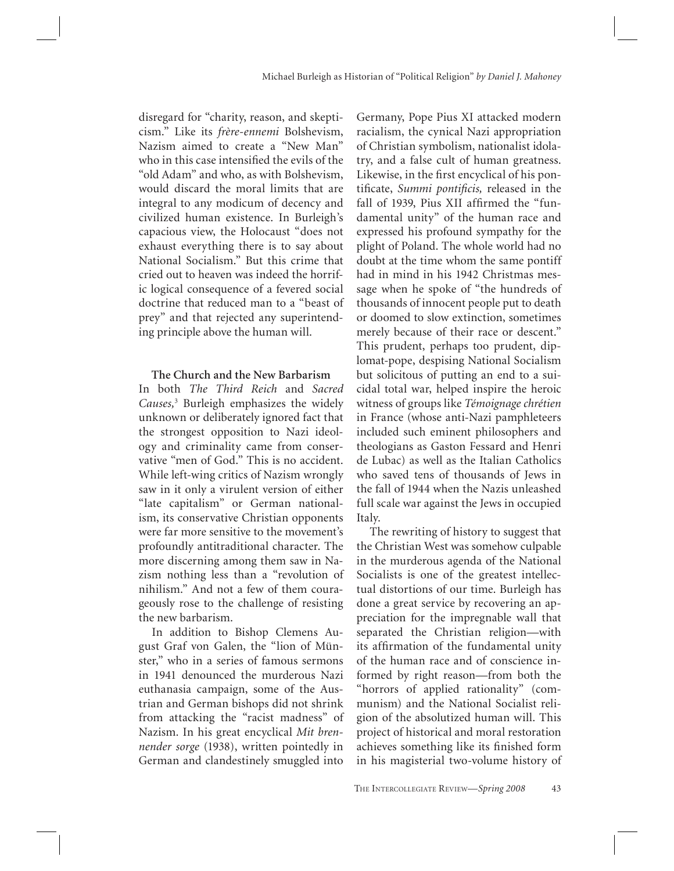disregard for "charity, reason, and skepticism." Like its *frère-ennemi* Bolshevism, Nazism aimed to create a "New Man" who in this case intensified the evils of the "old Adam" and who, as with Bolshevism, would discard the moral limits that are integral to any modicum of decency and civilized human existence. In Burleigh's capacious view, the Holocaust "does not exhaust everything there is to say about National Socialism." But this crime that cried out to heaven was indeed the horrific logical consequence of a fevered social doctrine that reduced man to a "beast of prey" and that rejected any superintending principle above the human will.

#### **The Church and the New Barbarism**

In both *The Third Reich* and *Sacred Causes,*<sup>3</sup> Burleigh emphasizes the widely unknown or deliberately ignored fact that the strongest opposition to Nazi ideology and criminality came from conservative "men of God." This is no accident. While left-wing critics of Nazism wrongly saw in it only a virulent version of either "late capitalism" or German nationalism, its conservative Christian opponents were far more sensitive to the movement's profoundly antitraditional character. The more discerning among them saw in Nazism nothing less than a "revolution of nihilism." And not a few of them courageously rose to the challenge of resisting the new barbarism.

In addition to Bishop Clemens August Graf von Galen, the "lion of Münster," who in a series of famous sermons in 1941 denounced the murderous Nazi euthanasia campaign, some of the Austrian and German bishops did not shrink from attacking the "racist madness" of Nazism. In his great encyclical *Mit brennender sorge* (1938), written pointedly in German and clandestinely smuggled into

Germany, Pope Pius XI attacked modern racialism, the cynical Nazi appropriation of Christian symbolism, nationalist idolatry, and a false cult of human greatness. Likewise, in the first encyclical of his pontificate, *Summi pontificis*, released in the fall of 1939, Pius XII affirmed the "fundamental unity" of the human race and expressed his profound sympathy for the plight of Poland. The whole world had no doubt at the time whom the same pontiff had in mind in his 1942 Christmas message when he spoke of "the hundreds of thousands of innocent people put to death or doomed to slow extinction, sometimes merely because of their race or descent." This prudent, perhaps too prudent, diplomat-pope, despising National Socialism but solicitous of putting an end to a suicidal total war, helped inspire the heroic witness of groups like *Témoignage chrétien* in France (whose anti-Nazi pamphleteers included such eminent philosophers and theologians as Gaston Fessard and Henri de Lubac) as well as the Italian Catholics who saved tens of thousands of Jews in the fall of 1944 when the Nazis unleashed full scale war against the Jews in occupied Italy.

The rewriting of history to suggest that the Christian West was somehow culpable in the murderous agenda of the National Socialists is one of the greatest intellectual distortions of our time. Burleigh has done a great service by recovering an appreciation for the impregnable wall that separated the Christian religion—with its affirmation of the fundamental unity of the human race and of conscience informed by right reason—from both the "horrors of applied rationality" (communism) and the National Socialist religion of the absolutized human will. This project of historical and moral restoration achieves something like its finished form in his magisterial two-volume history of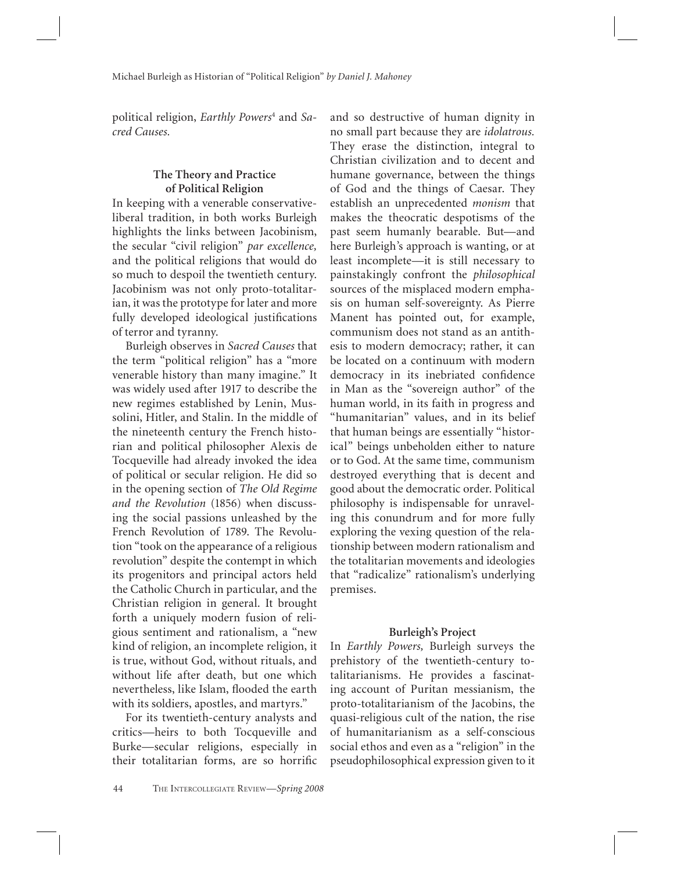political religion, *Earthly Powers*<sup>4</sup> and *Sacred Causes.*

### **The Theory and Practice of Political Religion**

In keeping with a venerable conservativeliberal tradition, in both works Burleigh highlights the links between Jacobinism, the secular "civil religion" *par excellence,* and the political religions that would do so much to despoil the twentieth century. Jacobinism was not only proto-totalitarian, it was the prototype for later and more fully developed ideological justifications of terror and tyranny.

Burleigh observes in *Sacred Causes* that the term "political religion" has a "more venerable history than many imagine." It was widely used after 1917 to describe the new regimes established by Lenin, Mussolini, Hitler, and Stalin. In the middle of the nineteenth century the French historian and political philosopher Alexis de Tocqueville had already invoked the idea of political or secular religion. He did so in the opening section of *The Old Regime and the Revolution* (1856) when discussing the social passions unleashed by the French Revolution of 1789. The Revolution "took on the appearance of a religious revolution" despite the contempt in which its progenitors and principal actors held the Catholic Church in particular, and the Christian religion in general. It brought forth a uniquely modern fusion of religious sentiment and rationalism, a "new kind of religion, an incomplete religion, it is true, without God, without rituals, and without life after death, but one which nevertheless, like Islam, flooded the earth with its soldiers, apostles, and martyrs."

For its twentieth-century analysts and critics—heirs to both Tocqueville and Burke—secular religions, especially in their totalitarian forms, are so horrific and so destructive of human dignity in no small part because they are *idolatrous.* They erase the distinction, integral to Christian civilization and to decent and humane governance, between the things of God and the things of Caesar. They establish an unprecedented *monism* that makes the theocratic despotisms of the past seem humanly bearable. But—and here Burleigh's approach is wanting, or at least incomplete—it is still necessary to painstakingly confront the *philosophical* sources of the misplaced modern emphasis on human self-sovereignty. As Pierre Manent has pointed out, for example, communism does not stand as an antithesis to modern democracy; rather, it can be located on a continuum with modern democracy in its inebriated confidence in Man as the "sovereign author" of the human world, in its faith in progress and "humanitarian" values, and in its belief that human beings are essentially "historical" beings unbeholden either to nature or to God. At the same time, communism destroyed everything that is decent and good about the democratic order. Political philosophy is indispensable for unraveling this conundrum and for more fully exploring the vexing question of the relationship between modern rationalism and the totalitarian movements and ideologies that "radicalize" rationalism's underlying premises.

#### **Burleigh's Project**

In *Earthly Powers,* Burleigh surveys the prehistory of the twentieth-century totalitarianisms. He provides a fascinating account of Puritan messianism, the proto-totalitarianism of the Jacobins, the quasi-religious cult of the nation, the rise of humanitarianism as a self-conscious social ethos and even as a "religion" in the pseudophilosophical expression given to it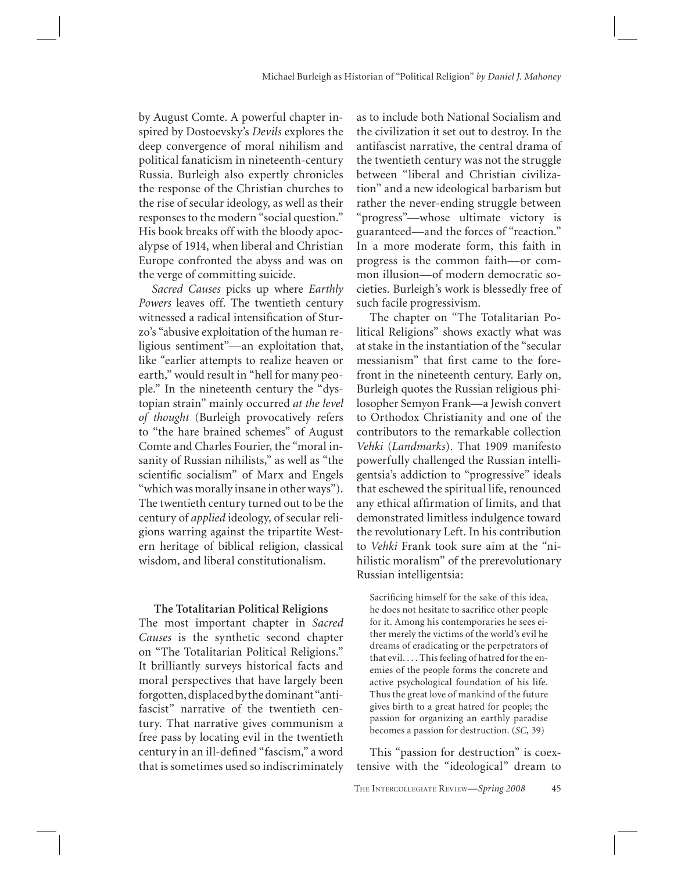by August Comte. A powerful chapter inspired by Dostoevsky's *Devils* explores the deep convergence of moral nihilism and political fanaticism in nineteenth-century Russia. Burleigh also expertly chronicles the response of the Christian churches to the rise of secular ideology, as well as their responses to the modern "social question." His book breaks off with the bloody apocalypse of 1914, when liberal and Christian Europe confronted the abyss and was on the verge of committing suicide.

*Sacred Causes* picks up where *Earthly Powers* leaves off. The twentieth century witnessed a radical intensification of Sturzo's "abusive exploitation of the human religious sentiment"—an exploitation that, like "earlier attempts to realize heaven or earth," would result in "hell for many people." In the nineteenth century the "dystopian strain" mainly occurred *at the level of thought* (Burleigh provocatively refers to "the hare brained schemes" of August Comte and Charles Fourier, the "moral insanity of Russian nihilists," as well as "the scientific socialism" of Marx and Engels "which was morally insane in other ways"). The twentieth century turned out to be the century of *applied* ideology, of secular religions warring against the tripartite Western heritage of biblical religion, classical wisdom, and liberal constitutionalism.

#### **The Totalitarian Political Religions**

The most important chapter in *Sacred Causes* is the synthetic second chapter on "The Totalitarian Political Religions." It brilliantly surveys historical facts and moral perspectives that have largely been forgotten, displaced by the dominant "antifascist" narrative of the twentieth century. That narrative gives communism a free pass by locating evil in the twentieth century in an ill-defined "fascism," a word that is sometimes used so indiscriminately

as to include both National Socialism and the civilization it set out to destroy. In the antifascist narrative, the central drama of the twentieth century was not the struggle between "liberal and Christian civilization" and a new ideological barbarism but rather the never-ending struggle between "progress"—whose ultimate victory is guaranteed—and the forces of "reaction." In a more moderate form, this faith in progress is the common faith—or common illusion—of modern democratic societies. Burleigh's work is blessedly free of such facile progressivism.

The chapter on "The Totalitarian Political Religions" shows exactly what was at stake in the instantiation of the "secular messianism" that first came to the forefront in the nineteenth century. Early on, Burleigh quotes the Russian religious philosopher Semyon Frank—a Jewish convert to Orthodox Christianity and one of the contributors to the remarkable collection *Vehki* (*Landmarks*). That 1909 manifesto powerfully challenged the Russian intelligentsia's addiction to "progressive" ideals that eschewed the spiritual life, renounced any ethical affirmation of limits, and that demonstrated limitless indulgence toward the revolutionary Left. In his contribution to *Vehki* Frank took sure aim at the "nihilistic moralism" of the prerevolutionary Russian intelligentsia:

Sacrificing himself for the sake of this idea, he does not hesitate to sacrifice other people for it. Among his contemporaries he sees either merely the victims of the world's evil he dreams of eradicating or the perpetrators of that evil. . . . This feeling of hatred for the enemies of the people forms the concrete and active psychological foundation of his life. Thus the great love of mankind of the future gives birth to a great hatred for people; the passion for organizing an earthly paradise becomes a passion for destruction. (*SC,* 39)

This "passion for destruction" is coextensive with the "ideological" dream to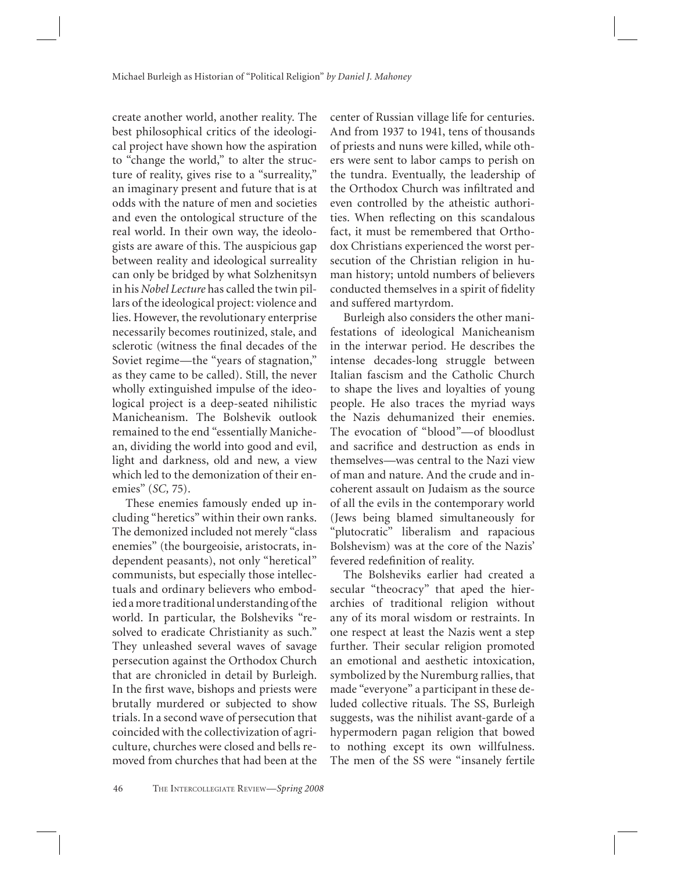create another world, another reality. The best philosophical critics of the ideological project have shown how the aspiration to "change the world," to alter the structure of reality, gives rise to a "surreality," an imaginary present and future that is at odds with the nature of men and societies and even the ontological structure of the real world. In their own way, the ideologists are aware of this. The auspicious gap between reality and ideological surreality can only be bridged by what Solzhenitsyn in his *Nobel Lecture* has called the twin pillars of the ideological project: violence and lies. However, the revolutionary enterprise necessarily becomes routinized, stale, and sclerotic (witness the final decades of the Soviet regime—the "years of stagnation," as they came to be called). Still, the never wholly extinguished impulse of the ideological project is a deep-seated nihilistic Manicheanism. The Bolshevik outlook remained to the end "essentially Manichean, dividing the world into good and evil, light and darkness, old and new, a view which led to the demonization of their enemies" (*SC,* 75).

These enemies famously ended up including "heretics" within their own ranks. The demonized included not merely "class enemies" (the bourgeoisie, aristocrats, independent peasants), not only "heretical" communists, but especially those intellectuals and ordinary believers who embodied a more traditional understanding of the world. In particular, the Bolsheviks "resolved to eradicate Christianity as such." They unleashed several waves of savage persecution against the Orthodox Church that are chronicled in detail by Burleigh. In the first wave, bishops and priests were brutally murdered or subjected to show trials. In a second wave of persecution that coincided with the collectivization of agriculture, churches were closed and bells removed from churches that had been at the center of Russian village life for centuries. And from 1937 to 1941, tens of thousands of priests and nuns were killed, while others were sent to labor camps to perish on the tundra. Eventually, the leadership of the Orthodox Church was infiltrated and even controlled by the atheistic authorities. When reflecting on this scandalous fact, it must be remembered that Orthodox Christians experienced the worst persecution of the Christian religion in human history; untold numbers of believers conducted themselves in a spirit of fidelity and suffered martyrdom.

Burleigh also considers the other manifestations of ideological Manicheanism in the interwar period. He describes the intense decades-long struggle between Italian fascism and the Catholic Church to shape the lives and loyalties of young people. He also traces the myriad ways the Nazis dehumanized their enemies. The evocation of "blood"—of bloodlust and sacrifice and destruction as ends in themselves—was central to the Nazi view of man and nature. And the crude and incoherent assault on Judaism as the source of all the evils in the contemporary world (Jews being blamed simultaneously for "plutocratic" liberalism and rapacious Bolshevism) was at the core of the Nazis' fevered redefinition of reality.

The Bolsheviks earlier had created a secular "theocracy" that aped the hierarchies of traditional religion without any of its moral wisdom or restraints. In one respect at least the Nazis went a step further. Their secular religion promoted an emotional and aesthetic intoxication, symbolized by the Nuremburg rallies, that made "everyone" a participant in these deluded collective rituals. The SS, Burleigh suggests, was the nihilist avant-garde of a hypermodern pagan religion that bowed to nothing except its own willfulness. The men of the SS were "insanely fertile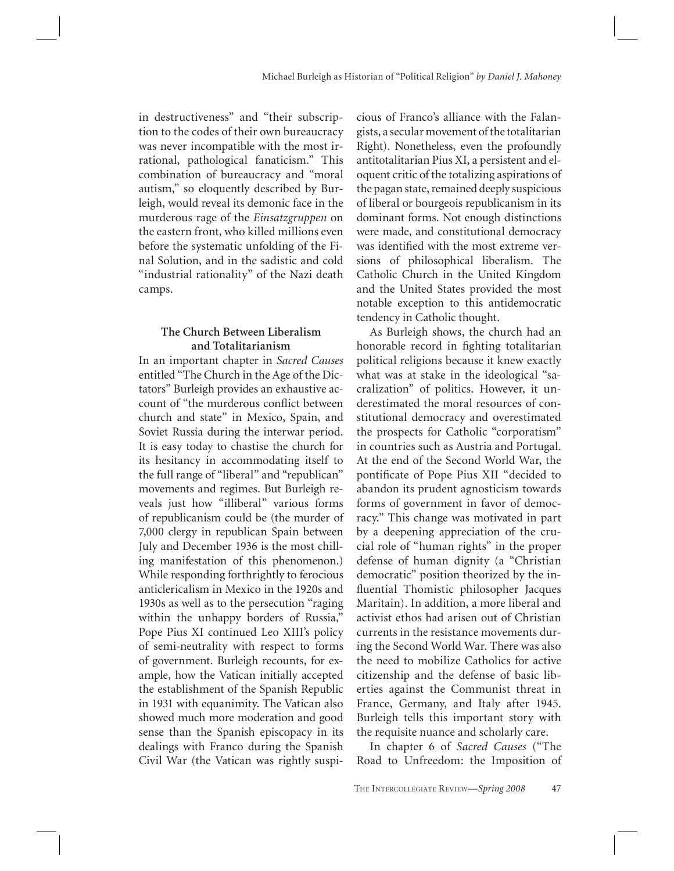in destructiveness" and "their subscription to the codes of their own bureaucracy was never incompatible with the most irrational, pathological fanaticism." This combination of bureaucracy and "moral autism," so eloquently described by Burleigh, would reveal its demonic face in the murderous rage of the *Einsatzgruppen* on the eastern front, who killed millions even before the systematic unfolding of the Final Solution, and in the sadistic and cold "industrial rationality" of the Nazi death camps.

#### **The Church Between Liberalism and Totalitarianism**

In an important chapter in *Sacred Causes* entitled "The Church in the Age of the Dictators" Burleigh provides an exhaustive account of "the murderous conflict between church and state" in Mexico, Spain, and Soviet Russia during the interwar period. It is easy today to chastise the church for its hesitancy in accommodating itself to the full range of "liberal" and "republican" movements and regimes. But Burleigh reveals just how "illiberal" various forms of republicanism could be (the murder of 7,000 clergy in republican Spain between July and December 1936 is the most chilling manifestation of this phenomenon.) While responding forthrightly to ferocious anticlericalism in Mexico in the 1920s and 1930s as well as to the persecution "raging within the unhappy borders of Russia," Pope Pius XI continued Leo XIII's policy of semi-neutrality with respect to forms of government. Burleigh recounts, for example, how the Vatican initially accepted the establishment of the Spanish Republic in 1931 with equanimity. The Vatican also showed much more moderation and good sense than the Spanish episcopacy in its dealings with Franco during the Spanish Civil War (the Vatican was rightly suspicious of Franco's alliance with the Falangists, a secular movement of the totalitarian Right). Nonetheless, even the profoundly antitotalitarian Pius XI, a persistent and eloquent critic of the totalizing aspirations of the pagan state, remained deeply suspicious of liberal or bourgeois republicanism in its dominant forms. Not enough distinctions were made, and constitutional democracy was identified with the most extreme versions of philosophical liberalism. The Catholic Church in the United Kingdom and the United States provided the most notable exception to this antidemocratic tendency in Catholic thought.

As Burleigh shows, the church had an honorable record in fighting totalitarian political religions because it knew exactly what was at stake in the ideological "sacralization" of politics. However, it underestimated the moral resources of constitutional democracy and overestimated the prospects for Catholic "corporatism" in countries such as Austria and Portugal. At the end of the Second World War, the pontificate of Pope Pius XII "decided to abandon its prudent agnosticism towards forms of government in favor of democracy." This change was motivated in part by a deepening appreciation of the crucial role of "human rights" in the proper defense of human dignity (a "Christian democratic" position theorized by the influential Thomistic philosopher Jacques Maritain). In addition, a more liberal and activist ethos had arisen out of Christian currents in the resistance movements during the Second World War. There was also the need to mobilize Catholics for active citizenship and the defense of basic liberties against the Communist threat in France, Germany, and Italy after 1945. Burleigh tells this important story with the requisite nuance and scholarly care.

In chapter 6 of *Sacred Causes* ("The Road to Unfreedom: the Imposition of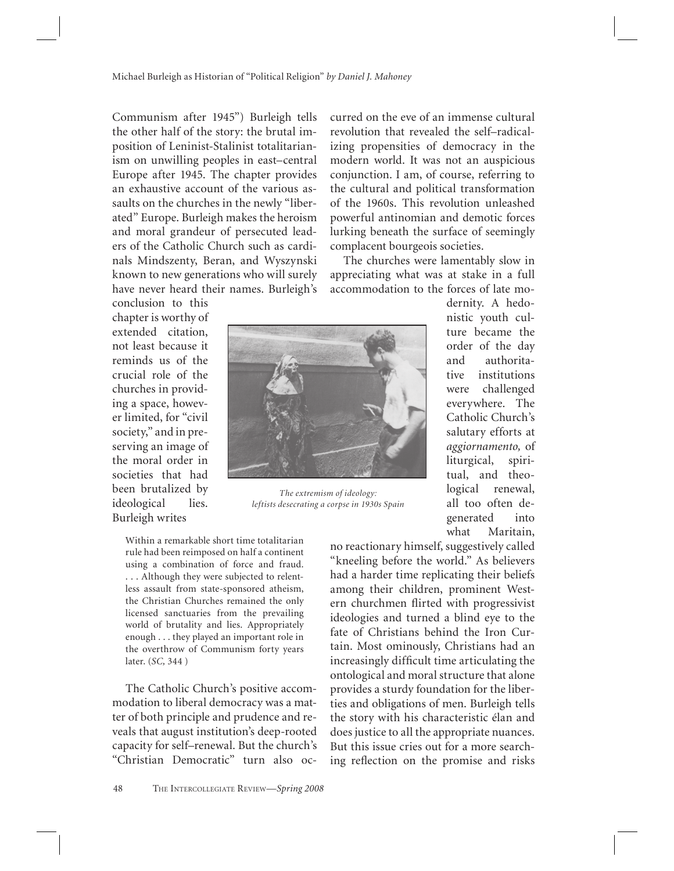Communism after 1945") Burleigh tells the other half of the story: the brutal imposition of Leninist-Stalinist totalitarianism on unwilling peoples in east–central Europe after 1945. The chapter provides an exhaustive account of the various assaults on the churches in the newly "liberated" Europe. Burleigh makes the heroism and moral grandeur of persecuted leaders of the Catholic Church such as cardinals Mindszenty, Beran, and Wyszynski known to new generations who will surely have never heard their names. Burleigh's

conclusion to this chapter is worthy of extended citation, not least because it reminds us of the crucial role of the churches in providing a space, however limited, for "civil society," and in preserving an image of the moral order in societies that had been brutalized by ideological lies. Burleigh writes



*The extremism of ideology: leftists desecrating a corpse in 1930s Spain*

Within a remarkable short time totalitarian rule had been reimposed on half a continent using a combination of force and fraud. . . . Although they were subjected to relentless assault from state-sponsored atheism, the Christian Churches remained the only licensed sanctuaries from the prevailing world of brutality and lies. Appropriately enough . . . they played an important role in the overthrow of Communism forty years later. (*SC,* 344 )

The Catholic Church's positive accommodation to liberal democracy was a matter of both principle and prudence and reveals that august institution's deep-rooted capacity for self–renewal. But the church's "Christian Democratic" turn also ocno reactionary himself, suggestively called "kneeling before the world." As believers had a harder time replicating their beliefs among their children, prominent Western churchmen flirted with progressivist ideologies and turned a blind eye to the fate of Christians behind the Iron Curtain. Most ominously, Christians had an increasingly difficult time articulating the ontological and moral structure that alone provides a sturdy foundation for the liberties and obligations of men. Burleigh tells the story with his characteristic élan and does justice to all the appropriate nuances. But this issue cries out for a more searching reflection on the promise and risks

curred on the eve of an immense cultural revolution that revealed the self–radicalizing propensities of democracy in the modern world. It was not an auspicious conjunction. I am, of course, referring to the cultural and political transformation of the 1960s. This revolution unleashed powerful antinomian and demotic forces lurking beneath the surface of seemingly complacent bourgeois societies.

The churches were lamentably slow in appreciating what was at stake in a full accommodation to the forces of late mo-

> dernity. A hedonistic youth culture became the order of the day and authoritative institutions were challenged everywhere. The Catholic Church's salutary efforts at *aggiornamento,* of liturgical, spiritual, and theological renewal, all too often degenerated into what Maritain,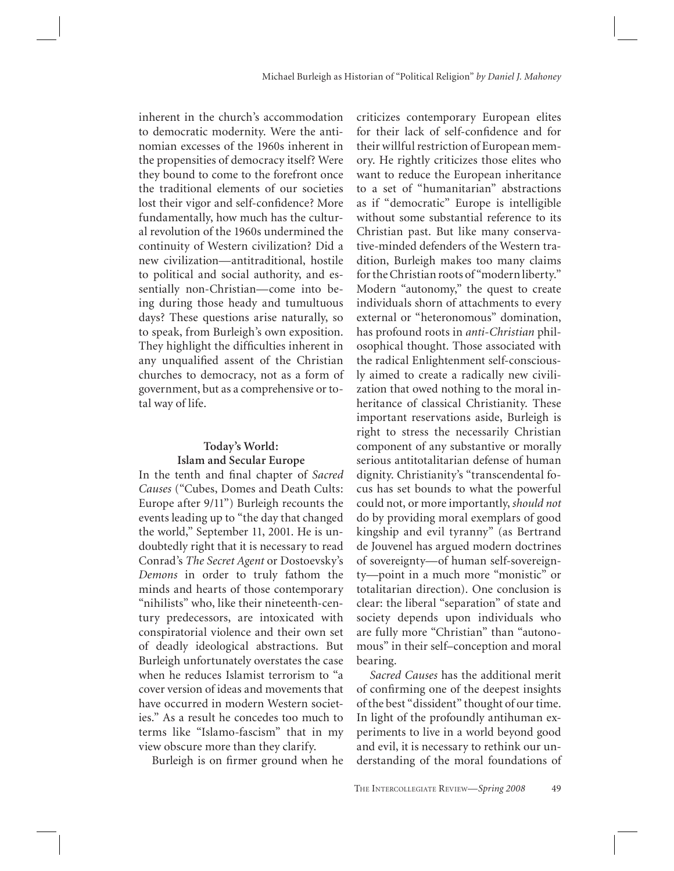inherent in the church's accommodation to democratic modernity. Were the antinomian excesses of the 1960s inherent in the propensities of democracy itself? Were they bound to come to the forefront once the traditional elements of our societies lost their vigor and self-confidence? More fundamentally, how much has the cultural revolution of the 1960s undermined the continuity of Western civilization? Did a new civilization—antitraditional, hostile to political and social authority, and essentially non-Christian—come into being during those heady and tumultuous days? These questions arise naturally, so to speak, from Burleigh's own exposition. They highlight the difficulties inherent in any unqualified assent of the Christian churches to democracy, not as a form of government, but as a comprehensive or total way of life.

### **Today's World: Islam and Secular Europe**

In the tenth and final chapter of Sacred *Causes* ("Cubes, Domes and Death Cults: Europe after 9/11") Burleigh recounts the events leading up to "the day that changed the world," September 11, 2001. He is undoubtedly right that it is necessary to read Conrad's *The Secret Agent* or Dostoevsky's *Demons* in order to truly fathom the minds and hearts of those contemporary "nihilists" who, like their nineteenth-century predecessors, are intoxicated with conspiratorial violence and their own set of deadly ideological abstractions. But Burleigh unfortunately overstates the case when he reduces Islamist terrorism to "a cover version of ideas and movements that have occurred in modern Western societies." As a result he concedes too much to terms like "Islamo-fascism" that in my view obscure more than they clarify.

Burleigh is on firmer ground when he

criticizes contemporary European elites for their lack of self-confidence and for their willful restriction of European memory. He rightly criticizes those elites who want to reduce the European inheritance to a set of "humanitarian" abstractions as if "democratic" Europe is intelligible without some substantial reference to its Christian past. But like many conservative-minded defenders of the Western tradition, Burleigh makes too many claims for the Christian roots of "modern liberty." Modern "autonomy," the quest to create individuals shorn of attachments to every external or "heteronomous" domination, has profound roots in *anti-Christian* philosophical thought. Those associated with the radical Enlightenment self-consciously aimed to create a radically new civilization that owed nothing to the moral inheritance of classical Christianity. These important reservations aside, Burleigh is right to stress the necessarily Christian component of any substantive or morally serious antitotalitarian defense of human dignity. Christianity's "transcendental focus has set bounds to what the powerful could not, or more importantly, *should not* do by providing moral exemplars of good kingship and evil tyranny" (as Bertrand de Jouvenel has argued modern doctrines of sovereignty—of human self-sovereignty—point in a much more "monistic" or totalitarian direction). One conclusion is clear: the liberal "separation" of state and society depends upon individuals who are fully more "Christian" than "autonomous" in their self–conception and moral bearing.

*Sacred Causes* has the additional merit of confirming one of the deepest insights of the best "dissident" thought of our time. In light of the profoundly antihuman experiments to live in a world beyond good and evil, it is necessary to rethink our understanding of the moral foundations of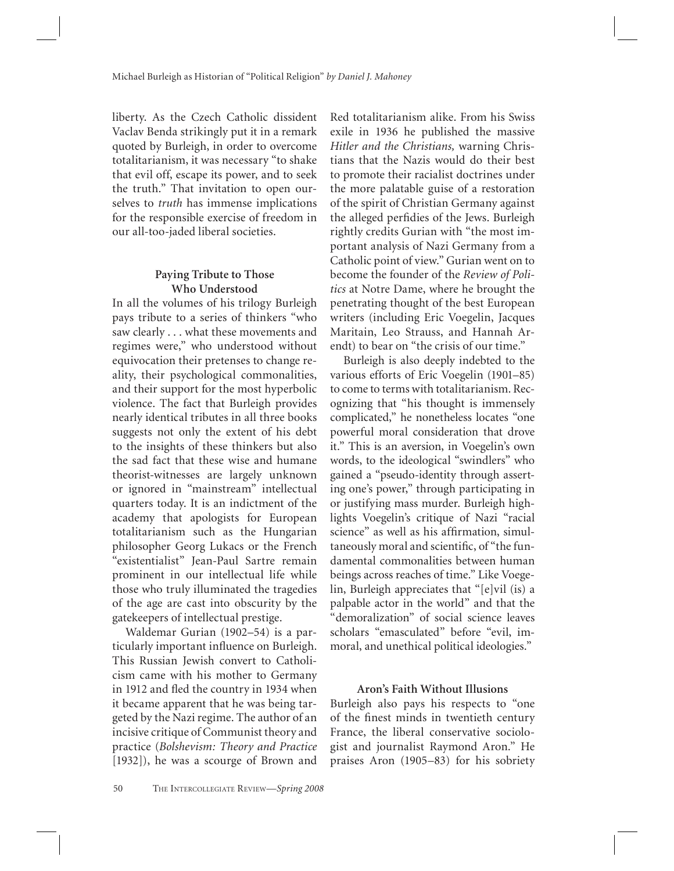liberty. As the Czech Catholic dissident Vaclav Benda strikingly put it in a remark quoted by Burleigh, in order to overcome totalitarianism, it was necessary "to shake that evil off, escape its power, and to seek the truth." That invitation to open ourselves to *truth* has immense implications for the responsible exercise of freedom in our all-too-jaded liberal societies.

#### **Paying Tribute to Those Who Understood**

In all the volumes of his trilogy Burleigh pays tribute to a series of thinkers "who saw clearly . . . what these movements and regimes were," who understood without equivocation their pretenses to change reality, their psychological commonalities, and their support for the most hyperbolic violence. The fact that Burleigh provides nearly identical tributes in all three books suggests not only the extent of his debt to the insights of these thinkers but also the sad fact that these wise and humane theorist-witnesses are largely unknown or ignored in "mainstream" intellectual quarters today. It is an indictment of the academy that apologists for European totalitarianism such as the Hungarian philosopher Georg Lukacs or the French "existentialist" Jean-Paul Sartre remain prominent in our intellectual life while those who truly illuminated the tragedies of the age are cast into obscurity by the gatekeepers of intellectual prestige.

Waldemar Gurian (1902–54) is a particularly important influence on Burleigh. This Russian Jewish convert to Catholicism came with his mother to Germany in 1912 and fled the country in 1934 when it became apparent that he was being targeted by the Nazi regime. The author of an incisive critique of Communist theory and practice (*Bolshevism: Theory and Practice* [1932]), he was a scourge of Brown and

Red totalitarianism alike. From his Swiss exile in 1936 he published the massive *Hitler and the Christians,* warning Christians that the Nazis would do their best to promote their racialist doctrines under the more palatable guise of a restoration of the spirit of Christian Germany against the alleged perfidies of the Jews. Burleigh rightly credits Gurian with "the most important analysis of Nazi Germany from a Catholic point of view." Gurian went on to become the founder of the *Review of Politics* at Notre Dame, where he brought the penetrating thought of the best European writers (including Eric Voegelin, Jacques Maritain, Leo Strauss, and Hannah Arendt) to bear on "the crisis of our time."

Burleigh is also deeply indebted to the various efforts of Eric Voegelin (1901–85) to come to terms with totalitarianism. Recognizing that "his thought is immensely complicated," he nonetheless locates "one powerful moral consideration that drove it." This is an aversion, in Voegelin's own words, to the ideological "swindlers" who gained a "pseudo-identity through asserting one's power," through participating in or justifying mass murder. Burleigh highlights Voegelin's critique of Nazi "racial science" as well as his affirmation, simultaneously moral and scientific, of "the fundamental commonalities between human beings across reaches of time." Like Voegelin, Burleigh appreciates that "[e]vil (is) a palpable actor in the world" and that the "demoralization" of social science leaves scholars "emasculated" before "evil, immoral, and unethical political ideologies."

#### **Aron's Faith Without Illusions**

Burleigh also pays his respects to "one of the finest minds in twentieth century France, the liberal conservative sociologist and journalist Raymond Aron." He praises Aron (1905–83) for his sobriety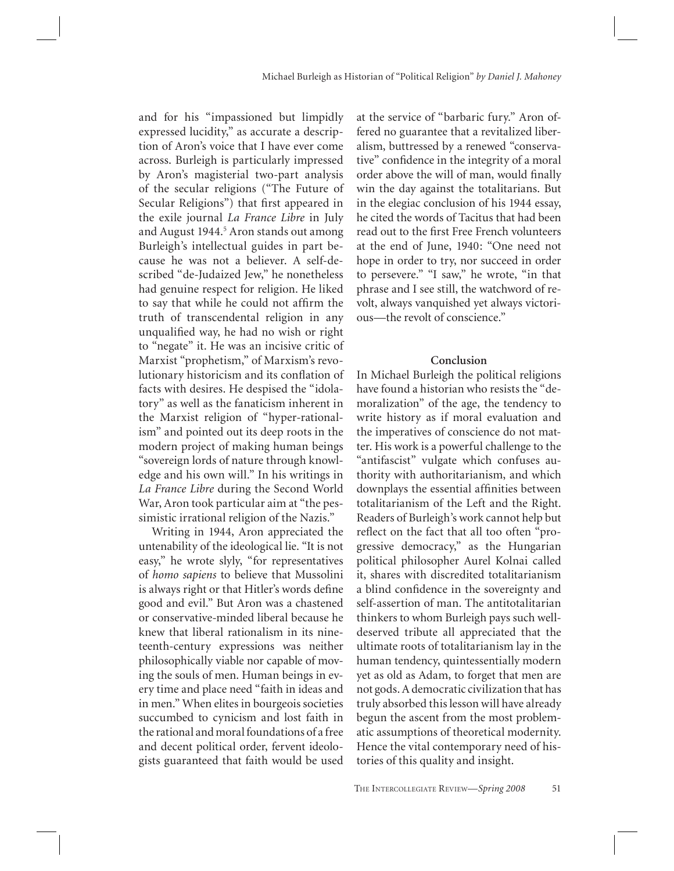and for his "impassioned but limpidly expressed lucidity," as accurate a description of Aron's voice that I have ever come across. Burleigh is particularly impressed by Aron's magisterial two-part analysis of the secular religions ("The Future of Secular Religions") that first appeared in the exile journal *La France Libre* in July and August 1944.<sup>5</sup> Aron stands out among Burleigh's intellectual guides in part because he was not a believer. A self-described "de-Judaized Jew," he nonetheless had genuine respect for religion. He liked to say that while he could not affirm the truth of transcendental religion in any unqualified way, he had no wish or right to "negate" it. He was an incisive critic of Marxist "prophetism," of Marxism's revolutionary historicism and its conflation of facts with desires. He despised the "idolatory" as well as the fanaticism inherent in the Marxist religion of "hyper-rationalism" and pointed out its deep roots in the modern project of making human beings "sovereign lords of nature through knowledge and his own will." In his writings in *La France Libre* during the Second World War, Aron took particular aim at "the pessimistic irrational religion of the Nazis."

Writing in 1944, Aron appreciated the untenability of the ideological lie. "It is not easy," he wrote slyly, "for representatives of *homo sapiens* to believe that Mussolini is always right or that Hitler's words define good and evil." But Aron was a chastened or conservative-minded liberal because he knew that liberal rationalism in its nineteenth-century expressions was neither philosophically viable nor capable of moving the souls of men. Human beings in every time and place need "faith in ideas and in men." When elites in bourgeois societies succumbed to cynicism and lost faith in the rational and moral foundations of a free and decent political order, fervent ideologists guaranteed that faith would be used

at the service of "barbaric fury." Aron offered no guarantee that a revitalized liberalism, buttressed by a renewed "conservative" confidence in the integrity of a moral order above the will of man, would finally win the day against the totalitarians. But in the elegiac conclusion of his 1944 essay, he cited the words of Tacitus that had been read out to the first Free French volunteers at the end of June, 1940: "One need not hope in order to try, nor succeed in order to persevere." "I saw," he wrote, "in that phrase and I see still, the watchword of revolt, always vanquished yet always victorious—the revolt of conscience."

#### **Conclusion**

In Michael Burleigh the political religions have found a historian who resists the "demoralization" of the age, the tendency to write history as if moral evaluation and the imperatives of conscience do not matter. His work is a powerful challenge to the "antifascist" vulgate which confuses authority with authoritarianism, and which downplays the essential affinities between totalitarianism of the Left and the Right. Readers of Burleigh's work cannot help but reflect on the fact that all too often "progressive democracy," as the Hungarian political philosopher Aurel Kolnai called it, shares with discredited totalitarianism a blind confidence in the sovereignty and self-assertion of man. The antitotalitarian thinkers to whom Burleigh pays such welldeserved tribute all appreciated that the ultimate roots of totalitarianism lay in the human tendency, quintessentially modern yet as old as Adam, to forget that men are not gods. A democratic civilization that has truly absorbed this lesson will have already begun the ascent from the most problematic assumptions of theoretical modernity. Hence the vital contemporary need of histories of this quality and insight.